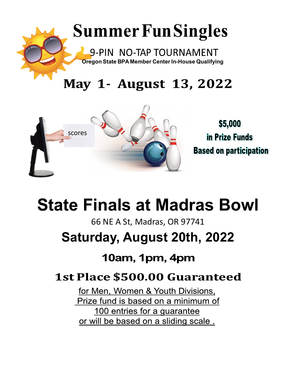

## May 1- August 13, 2022



# **State Finals at Madras Bowl**

66 NE A St, Madras, OR 97741

## **Saturday, August 20th, 2022**

## 10am, 1pm, 4pm

## **1st Place \$500.00 Guaranteed**

for Men, Women & Youth Divisions, Prize fund is based on a minimum of 100 entries for a guarantee or will be based on a sliding scale.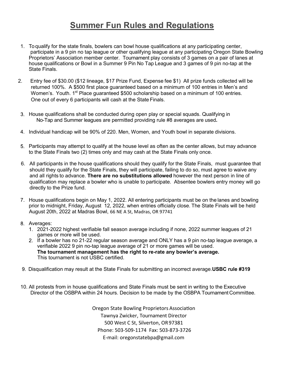### **Summer Fun Rules and Regulations**

- 1. To qualify for the state finals, bowlers can bowl house qualifications at any participating center, participate in a 9 pin no tap league or other qualifying league at any participating Oregon State Bowling Proprietors' Association member center. Tournament play consists of 3 games on a pair of lanes at house qualifications or Bowl in a Summer 9 Pin No Tap League and 3 games of 9 pin no-tap at the State Finals.
- 2. Entry fee of \$30.00 (\$12 lineage, \$17 Prize Fund, Expense fee \$1) All prize funds collected will be returned 100%. A \$500 first place guaranteed based on a minimum of 100 entries in Men's and Women's. Youth. 1<sup>st</sup> Place guaranteed \$500 scholarship based on a minimum of 100 entries. One out of every 6 participants will cash at the State Finals.
- House qualifications shall be conducted during open play or special squads. Qualifying in No-Tap and Summer leagues are permitted providing rule #8 averages are used**.**
- Individual handicap will be 90% of 220. Men, Women, and Youth bowl in separate divisions.
- Participants may attempt to qualify at the house level as often as the center allows, but may advance to the State Finals two (2) times only and may cash at the State Finals only once.
- 6. All participants in the house qualifications should they qualify for the State Finals, must guarantee that should they qualify for the State Finals, they will participate, failing to do so, must agree to waive any and all rights to advance. **There are no substitutions allowed** however the next person in line of qualification may replace a bowler who is unable to participate. Absentee bowlers entry money will go directly to the Prize fund.
- 7. House qualifications begin on May 1, 2022. All entering participants must be on the lanes and bowling prior to midnight, Friday, August 12, 2022, when entries officially close. The State Finals will be held August 20th, 2022 at Madras Bowl, 66 NE A St, Madras, OR 97741

#### 8. Averages:

- 2021-2022 highest verifiable fall season average including if none, 2022 summer leagues of 21 games or more will be used.
- 2. If a bowler has no 21-22 regular season average and ONLY has a 9 pin no-tap league average, a verifiable 2022 9 pin no-tap league average of 21 or more games will be used. **tournament management has the right to re-rate any bowler's average.** This tournament is not USBC certified.
- Disqualification may result at the State Finals for submitting an incorrect average.**USBC rule #319**
- 10. All protests from in house qualifications and State Finals must be sent in writing to the Executive Director of the OSBPA within 24 hours. Decision to be made by the OSBPA Tournament Committee.

Oregon State Bowling Proprietors Association Tawnya Zwicker, Tournament Director 500 West C St, Silverton, OR97381 Phone: 503-509-1174 Fax: 503-873-3726 E-mail: oregonstatebpa@gmail.com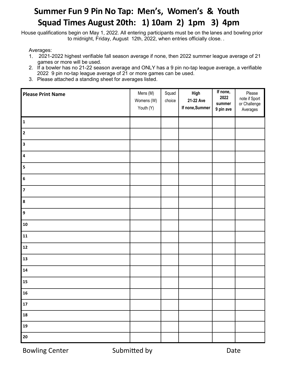### **Summer Fun 9 Pin No Tap: Men's, Women's & Youth Squad Times August 20th: 1) 10am 2) 1pm 3) 4pm**

House qualifications begin on May 1, 2022. All entering participants must be on the lanes and bowling prior to midnight, Friday, August 12th, 2022, when entries officially close. .

Averages:

- 2021-2022 highest verifiable fall season average if none, then 2022 summer league average of 21 games or more will be used.
- 2. If a bowler has no 21-22 season average and ONLY has a 9 pin no-tap league average, a verifiable 2022 9 pin no-tap league average of 21 or more games can be used.
- 3. Please attached a standing sheet for averages listed.

| <b>Please Print Name</b> | Mens (M)<br>Womens (W)<br>Youth (Y) | Squad<br>choice | High<br>21-22 Ave<br>If none, Summer | If none,<br>2022<br>summer<br>9 pin ave | Please<br>note if Sport<br>or Challenge<br>Averages |
|--------------------------|-------------------------------------|-----------------|--------------------------------------|-----------------------------------------|-----------------------------------------------------|
| $\mathbf{1}$             |                                     |                 |                                      |                                         |                                                     |
| $\overline{\mathbf{2}}$  |                                     |                 |                                      |                                         |                                                     |
| $\overline{\mathbf{3}}$  |                                     |                 |                                      |                                         |                                                     |
| $\boldsymbol{4}$         |                                     |                 |                                      |                                         |                                                     |
| $\sf 5$                  |                                     |                 |                                      |                                         |                                                     |
| $\bf 6$                  |                                     |                 |                                      |                                         |                                                     |
| $\overline{z}$           |                                     |                 |                                      |                                         |                                                     |
| $\pmb{8}$                |                                     |                 |                                      |                                         |                                                     |
| $\boldsymbol{9}$         |                                     |                 |                                      |                                         |                                                     |
| ${\bf 10}$               |                                     |                 |                                      |                                         |                                                     |
| $\mathbf{11}$            |                                     |                 |                                      |                                         |                                                     |
| $\mathbf{12}$            |                                     |                 |                                      |                                         |                                                     |
| 13                       |                                     |                 |                                      |                                         |                                                     |
| 14                       |                                     |                 |                                      |                                         |                                                     |
| 15                       |                                     |                 |                                      |                                         |                                                     |
| ${\bf 16}$               |                                     |                 |                                      |                                         |                                                     |
| $17$                     |                                     |                 |                                      |                                         |                                                     |
| ${\bf 18}$               |                                     |                 |                                      |                                         |                                                     |
| 19                       |                                     |                 |                                      |                                         |                                                     |
| 20                       |                                     |                 |                                      |                                         |                                                     |